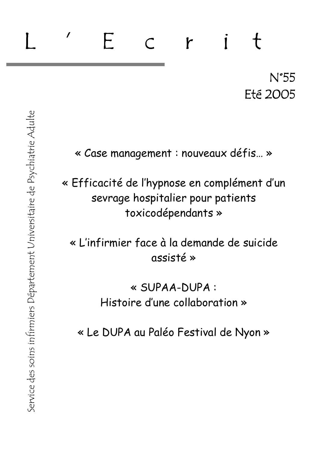# $\prime$ F r  $N^{\circ}55$ **Eté 2005**

« Case management : nouveaux défis... »

« Efficacité de l'hypnose en complément d'un sevrage hospitalier pour patients toxicodépendants »

« L'infirmier face à la demande de suicide assisté »

> « SUPAA-DUPA : Histoire d'une collaboration »

« Le DUPA au Paléo Festival de Nyon »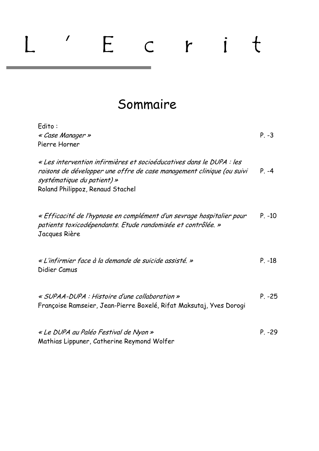# $\overline{\phantom{a}}$ Ecrit  $\lfloor$

# Sommaire

| Edito:<br>« Case Manager »<br>Pierre Horner                                                                                                                                                                     | $P. -3$  |
|-----------------------------------------------------------------------------------------------------------------------------------------------------------------------------------------------------------------|----------|
| « Les intervention infirmières et socioéducatives dans le DUPA : les<br>raisons de développer une offre de case management clinique (ou suivi<br>systématique du patient) »<br>Roland Philippoz, Renaud Stachel | $P. -4$  |
| « Efficacité de l'hypnose en complément d'un sevrage hospitalier pour<br>patients toxicodépendants. Etude randomisée et contrôlée. »<br>Jacques Rière                                                           | $P. -10$ |
| « L'infirmier face à la demande de suicide assisté. »<br>Didier Camus                                                                                                                                           | $P. -18$ |
| « SUPAA-DUPA : Histoire d'une collaboration »<br>Françoise Ramseier, Jean-Pierre Boxelé, Rifat Maksutaj, Yves Dorogi                                                                                            | $P. -25$ |
| « Le DUPA au Paléo Festival de Nyon »<br>Mathias Lippuner, Catherine Reymond Wolfer                                                                                                                             | $P. -29$ |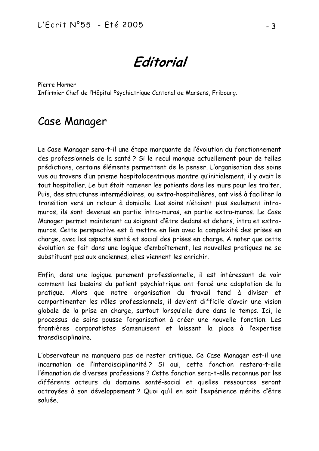Editorial

Pierre Horner Infirmier Chef de l'Hôpital Psychiatrique Cantonal de Marsens, Fribourg.

# **Case Manager**

Le Case Manager sera-t-il une étape marguante de l'évolution du fonctionnement des professionnels de la santé? Si le recul manque actuellement pour de telles prédictions, certains éléments permettent de le penser. L'organisation des soins vue au travers d'un prisme hospitalocentrique montre qu'initialement, il y avait le tout hospitalier. Le but était ramener les patients dans les murs pour les traiter. Puis, des structures intermédiaires, ou extra-hospitalières, ont visé à faciliter la transition vers un retour à domicile. Les soins n'étaient plus seulement intramuros, ils sont devenus en partie intra-muros, en partie extra-muros. Le Case Manager permet maintenant au soignant d'être dedans et dehors, intra et extramuros. Cette perspective est à mettre en lien avec la complexité des prises en charge, avec les aspects santé et social des prises en charge. A noter que cette évolution se fait dans une logique d'emboîtement, les nouvelles pratiques ne se substituant pas aux anciennes, elles viennent les enrichir.

Enfin, dans une logique purement professionnelle, il est intéressant de voir comment les besoins du patient psychiatrique ont forcé une adaptation de la pratique. Alors que notre organisation du travail tend à diviser et compartimenter les rôles professionnels, il devient difficile d'avoir une vision globale de la prise en charge, surtout lorsqu'elle dure dans le temps. Ici, le processus de soins pousse l'organisation à créer une nouvelle fonction. Les frontières corporatistes s'amenuisent et laissent la place à l'expertise transdisciplinaire.

L'observateur ne manquera pas de rester critique. Ce Case Manager est-il une incarnation de l'interdisciplinarité? Si oui, cette fonction restera-t-elle l'émanation de diverses professions ? Cette fonction sera-t-elle reconnue par les différents acteurs du domaine santé-social et quelles ressources seront octroyées à son développement? Quoi qu'il en soit l'expérience mérite d'être saluée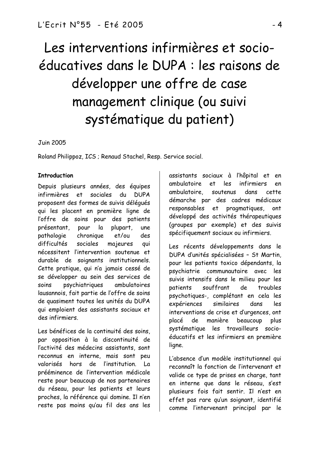# Les interventions infirmières et socioéducatives dans le DUPA : les raisons de développer une offre de case management clinique (ou suivi systématique du patient)

## **Juin 2005**

Roland Philippoz, ICS ; Renaud Stachel, Resp. Service social.

# **Introduction**

Depuis plusieurs années, des équipes infirmières et sociales du DUPA proposent des formes de suivis déléqués qui les placent en première ligne de l'offre de soins pour des patients présentant, pour la plupart,  $line$ pathologie et/ou chronique des difficultés sociales majeures aui nécessitent l'intervention soutenue et durable de soignants institutionnels. Cette pratique, qui n'a jamais cessé de se développer au sein des services de psychiatriques soins ambulatoires lausannois, fait partie de l'offre de soins de quasiment toutes les unités du DUPA qui emploient des assistants sociaux et des infirmiers

Les bénéfices de la continuité des soins. par opposition à la discontinuité de l'activité des médecins assistants, sont reconnus en interne mais sont peu valorisés hors de l'institution.  $\overline{a}$ prééminence de l'intervention médicale reste pour beaucoup de nos partenaires du réseau, pour les patients et leurs proches, la référence qui domine. Il n'en reste pas moins qu'au fil des ans les

assistants sociaux à l'hôpital et en ambulatoire et les infirmiers en ambulatoire. soutenus dans cette. démarche par des cadres médicaux responsables et pragmatiques. ont développé des activités thérapeutiques (groupes par exemple) et des suivis spécifiquement sociaux ou infirmiers.

Les récents développements dans le DUPA d'unités spécialisées - St Martin, pour les patients toxico dépendants, la psychiatrie communautaire avec les suivis intensifs dans le milieu pour les patients souffrant de. troubles psychotiques-, complétant en cela les expériences similaires dans les interventions de crise et d'urgences, ont manière placé de beaucoup plus systématique les travailleurs socioéducatifs et les infirmiers en première ligne.

L'absence d'un modèle institutionnel qui reconnaît la fonction de l'intervenant et valide ce type de prises en charge, tant en interne que dans le réseau, s'est plusieurs fois fait sentir. Il n'est en effet pas rare qu'un soignant, identifié comme l'intervenant principal par le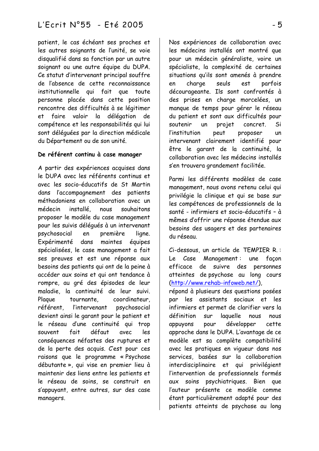patient, le cas échéant ses proches et les autres soignants de l'unité, se voie disqualifié dans sa fonction par un autre soignant ou une autre équipe du DUPA. Ce statut d'intervenant principal souffre de l'absence de cette reconnaissance institutionnelle qui fait que toute personne placée dans cette position rencontre des difficultés à se légitimer et faire valoir la délégation de compétence et les responsabilités qui lui sont déléquées par la direction médicale du Département ou de son unité.

# De référent continu à case manager

A partir des expériences acquises dans le DUPA avec les référents continus et avec les socio-éducatifs de St Martin dans l'accompagnement des patients méthadoniens en collaboration avec un médecin installé nous souhaitons proposer le modèle du case management pour les suivis déléqués à un intervenant psychosocial première ligne. en Expérimenté dans maintes équipes spécialisées, le case management a fait ses preuves et est une réponse aux besoins des patients qui ont de la peine à accéder aux soins et qui ont tendance à rompre, au gré des épisodes de leur maladie, la continuité de leur suivi. Plague tournante coordinateur. référent, l'intervenant psychosocial devient ainsi le garant pour le patient et le réseau d'une continuité qui trop défaut souvent fait avec  $leg$ conséquences néfastes des ruptures et de la perte des acquis. C'est pour ces raisons que le programme « Psychose débutante », qui vise en premier lieu à maintenir des liens entre les patients et le réseau de soins, se construit en s'appuyant, entre autres, sur des case managers.

Nos expériences de collaboration avec les médecins installés ont montré que pour un médecin généraliste, voire un spécialiste, la complexité de certaines situations qu'ils sont amenés à prendre charge seuls parfois en est décourageante. Ils sont confrontés à des prises en charge morcelées, un manque de temps pour gérer le réseau du patient et sont aux difficultés pour soutenir **un** projet concret. Si l'institution peut proposer un intervenant clairement identifié pour être le garant de la continuité la collaboration avec les médecins installés s'en trouvera grandement facilitée.

Parmi les différents modèles de case management, nous avons retenu celui qui privilégie la clinique et qui se base sur les compétences de professionnels de la santé - infirmiers et socio-éducatifs - à mêmes d'offrir une réponse étendue aux besoins des usagers et des partenaires du réseau.

Ci-dessous, un article de TEMPIER R.: Le Case Management: une facon efficace de suivre des personnes atteintes de psychose au long cours (http://www.rehab-infoweb.net/),

répond à plusieurs des questions posées par les assistants sociaux et les infirmiers et permet de clarifier vers la définition laquelle nous nous sur développer appuyons pour cette approche dans le DUPA. L'avantage de ce modèle est sa complète compatibilité avec les pratiques en viqueur dans nos services, basées sur la collaboration interdisciplinaire et qui privilégient l'intervention de professionnels formés aux soins psychiatriques. Bien que l'auteur présente ce modèle comme étant particulièrement adapté pour des patients atteints de psychose au long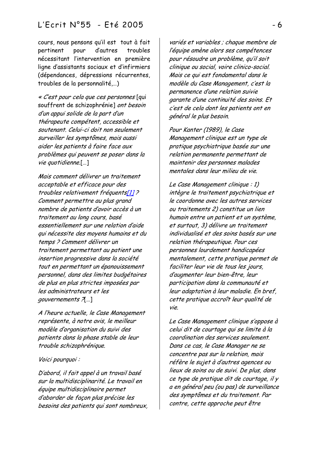# L'Ecrit N°55 - Eté 2005

cours, nous pensons qu'il est tout à fait pertinent pour d'autres troubles nécessitant l'intervention en première ligne d'assistants sociaux et d'infirmiers (dépendances, dépressions récurrentes, troubles de la personnalité,...)

« C'est pour cela que ces personnes [qui souffrent de schizophrénie] ont besoin d'un appui solide de la part d'un thérapeute compétent, accessible et soutenant. Celui-ci doit non seulement surveiller les symptômes, mais aussi aider les patients à faire face aux problèmes qui peuvent se poser dans la  $vie$  quotidienne.[...]

Mais comment délivrer un traitement acceptable et efficace pour des troubles relativement fréquents[1]? Comment permettre au plus grand nombre de patients d'avoir accès à un traitement au long cours, basé essentiellement sur une relation d'aide qui nécessite des moyens humains et du temps ? Comment délivrer un traitement permettant au patient une insertion progressive dans la société tout en permettant un épanouissement personnel, dans des limites budgétaires de plus en plus strictes imposées par les administrateurs et les qouvernements ?[...]

A l'heure actuelle, le Case Management représente, à notre avis, le meilleur modèle d'organisation du suivi des patients dans la phase stable de leur trouble schizophrénique.

#### Voici pourquoi :

D'abord, il fait appel à un travail basé sur la multidisciplinarité. Le travail en équipe multidisciplinaire permet d'aborder de façon plus précise les besoins des patients qui sont nombreux,

variés et variables ; chaque membre de l'équipe amène alors ses compétences pour résoudre un problème, qu'il soit clinique ou social, voire clinico-social. Mais ce qui est fondamental dans le modèle du Case Management, c'est la permanence d'une relation suivie garante d'une continuité des soins. Et c'est de cela dont les patients ont en général le plus besoin.

Pour Kanter (1989), le Case Management clinique est un type de pratique psychiatrique basée sur une relation permanente permettant de maintenir des personnes malades mentales dans leur milieu de vie.

Le Case Management clinique : 1) intègre le traitement psychiatrique et le coordonne avec les autres services ou traitements 2) constitue un lien humain entre un patient et un système, et surtout, 3) délivre un traitement individualisé et des soins basés sur une relation thérapeutique. Pour ces personnes lourdement handicapées mentalement, cette pratique permet de faciliter leur vie de tous les jours, d'augmenter leur bien-être, leur participation dans la communauté et leur adaptation à leur maladie. En bref. cette pratique accroît leur qualité de vie.

Le Case Management clinique s'oppose à celui dit de courtage qui se limite à la coordination des services seulement. Dans ce cas, le Case Manager ne se concentre pas sur la relation, mais réfère le sujet à d'autres agences ou lieux de soins ou de suivi. De plus, dans ce type de pratique dit de courtage, il y a en général peu (ou pas) de surveillance des symptômes et du traitement. Par contre, cette approche peut être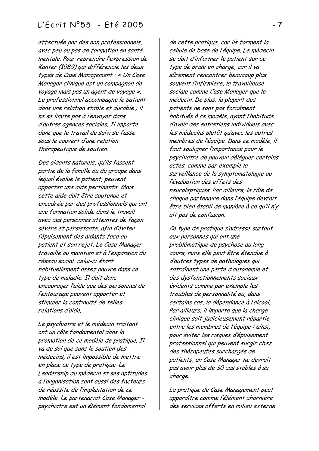# L'Ecrit N°55 - Eté 2005

effectuée par des non professionnels, avec peu ou pas de formation en santé mentale. Pour reprendre l'expression de Kanter (1989) qui différencie les deux types de Case Management : « Un Case Manager clinique est un compagnon de voyage mais pas un agent de voyage ». Le professionnel accompagne le patient dans une relation stable et durable; il ne se limite pas à l'envoyer dans d'autres agences sociales. Il importe donc que le travail de suivi se fasse sous le couvert d'une relation thérapeutique de soutien.

Des aidants naturels, qu'ils fassent partie de la famille ou du groupe dans lequel évolue le patient, peuvent apporter une aide pertinente. Mais cette aide doit être soutenue et encadrée par des professionnels qui ont une formation solide dans le travail avec ces personnes atteintes de facon sévère et persistante, afin d'éviter l'épuisement des aidants face au patient et son rejet. Le Case Manager travaille au maintien et à l'expansion du réseau social, celui-ci étant habituellement assez pauvre dans ce type de maladie. Il doit donc encourager l'aide que des personnes de l'entourage peuvent apporter et stimuler la continuité de telles relations d'aide

Le psychiatre et le médecin traitant ont un rôle fondamental dans la promotion de ce modèle de pratique. Il va de soi que sans le soutien des médecins, il est impossible de mettre en place ce type de pratique. Le Leadership du médecin et ses aptitudes à l'organisation sont aussi des facteurs de réussite de l'implantation de ce modèle. Le partenariat Case Manager psychiatre est un élément fondamental

de cette pratique, car ils forment la cellule de base de l'équipe. Le médecin se doit d'informer le patient sur ce type de prise en charge, car il va sûrement rencontrer beaucoup plus souvent l'infirmière, la travailleuse sociale comme Case Manager que le médecin. De plus, la plupart des patients ne sont pas forcément habitués à ce modèle, ayant l'habitude d'avoir des entretiens individuels avec les médecins plutôt qu'avec les autres membres de l'équipe. Dans ce modèle, il faut souligner l'importance pour le psychiatre de pouvoir déléquer certains actes, comme par exemple la surveillance de la symptomatologie ou l'évaluation des effets des neuroleptiques. Par ailleurs, le rôle de chaque partenaire dans l'équipe devrait être bien établi de manière à ce qu'il n'y ait pas de confusion.

Ce type de pratique s'adresse surtout aux personnes qui ont une problématique de psychose au long cours, mais elle peut être étendue à d'autres types de pathologies qui entraînent une perte d'autonomie et des dysfonctionnements sociaux évidents comme par exemple les troubles de personnalité ou, dans certains cas, la dépendance à l'alcool. Par ailleurs, il importe que la charge clinique soit judicieusement répartie entre les membres de l'équipe : ainsi, pour éviter les risques d'épuisement professionnel qui peuvent surgir chez des thérapeutes surchargés de patients, un Case Manager ne devrait pas avoir plus de 30 cas stables à sa charge.

La pratique de Case Management peut apparaître comme l'élément charnière des services offerts en milieu externe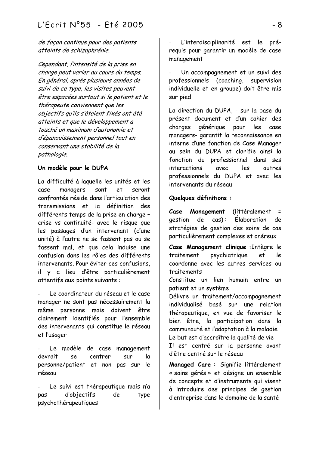de façon continue pour des patients atteints de schizophrénie.

Cependant, l'intensité de la prise en charge peut varier au cours du temps. En général, après plusieurs années de suivi de ce type, les visites peuvent être espacées surtout si le patient et le thérapeute conviennent que les objectifs qu'ils s'étaient fixés ont été atteints et que le développement a touché un maximum d'autonomie et d'épanouissement personnel tout en conservant une stabilité de la pathologie.

# Un modèle pour le DUPA

La difficulté à laquelle les unités et les case managers sont et seront confrontés réside dans l'articulation des transmissions et la définition des différents temps de la prise en charge crise vs continuité- avec le risque que les passages d'un intervenant (d'une unité) à l'autre ne se fassent pas ou se fassent mal, et que cela induise une confusion dans les rôles des différents intervenants. Pour éviter ces confusions. il y a lieu d'être particulièrement attentifs aux points suivants :

Le coordinateur du réseau et le case manager ne sont pas nécessairement la même personne mais doivent être clairement identifiés pour l'ensemble des intervenants qui constitue le réseau et l'usager

Le modèle de case management devrait  $\overline{a}$ SP. centrer  $S$ llm personne/patient et non pas sur le résegu

Le suivi est thérapeutique mais n'a d'objectifs pas de type psychothérapeutiques

L'interdisciplinarité est le prérequis pour garantir un modèle de case management

Un accompagnement et un suivi des professionnels (coaching, supervision individuelle et en groupe) doit être mis sur pied

La direction du DUPA, - sur la base du présent document et d'un cahier des charges générique pour les case managers- garantit la reconnaissance en interne d'une fonction de Case Manager au sein du DUPA et clarifie ainsi la fonction du professionnel dans ses interactions avec  $leg$ quitres professionnels du DUPA et avec les intervenants du réseau

## Quelques définitions :

Management (littéralement Case  $\equiv$  $de$   $cas)$ : Flaboration aestion de stratégies de gestion des soins de cas particulièrement complexes et onéreux

Case Management clinique : Intègre le traitement psychiatrique et le coordonne avec les autres services ou traitements

Constitue un lien humain entre un patient et un système

Délivre un traitement/accompagnement individualisé basé sur une relation thérapeutique, en vue de favoriser le bien être, la participation dans la communauté et l'adaptation à la maladie Le but est d'accroître la qualité de vie Il est centré sur la personne avant d'être centré sur le réseau

Managed Care: Signifie littéralement « soins gérés » et désigne un ensemble de concepts et d'instruments qui visent à introduire des principes de gestion d'entreprise dans le domaine de la santé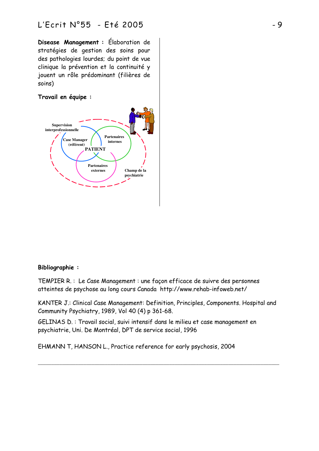Disease Management : Elaboration de stratégies de gestion des soins pour des pathologies lourdes; du point de vue clinique la prévention et la continuité y jouent un rôle prédominant (filières de soins)

# Travail en équipe :



## **Bibliographie:**

TEMPIER R.: Le Case Management : une façon efficace de suivre des personnes atteintes de psychose au long cours Canada http://www.rehab-infoweb.net/

KANTER J.: Clinical Case Management: Definition, Principles, Components. Hospital and Community Psychiatry, 1989, Vol 40 (4) p 361-68.

GELINAS D. : Travail social, suivi intensif dans le milieu et case management en psychiatrie, Uni. De Montréal, DPT de service social, 1996

EHMANN T, HANSON L., Practice reference for early psychosis, 2004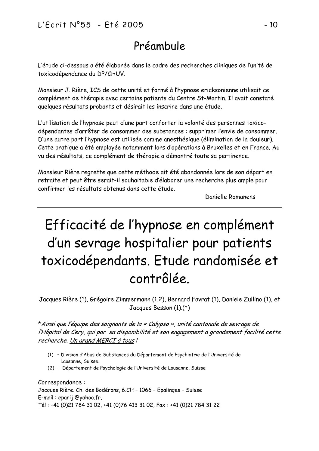# Préambule

L'étude ci-dessous a été élaborée dans le cadre des recherches cliniques de l'unité de toxicodépendance du DP/CHUV.

Monsieur J. Rière, ICS de cette unité et formé à l'hypnose ericksonienne utilisait ce complément de thérapie avec certains patients du Centre St-Martin. Il avait constaté quelques résultats probants et désirait les inscrire dans une étude.

L'utilisation de l'hypnose peut d'une part conforter la volonté des personnes toxicodépendantes d'arrêter de consommer des substances : supprimer l'envie de consommer. D'une autre part l'hypnose est utilisée comme anesthésique (élimination de la douleur). Cette pratique a été employée notamment lors d'opérations à Bruxelles et en France. Au vu des résultats, ce complément de thérapie a démontré toute sa pertinence.

Monsieur Rière regrette que cette méthode ait été abandonnée lors de son départ en retraite et peut être serait-il souhaitable d'élaborer une recherche plus ample pour confirmer les résultats obtenus dans cette étude.

Danielle Romanens

# Efficacité de l'hypnose en complément d'un sevrage hospitalier pour patients toxicodépendants. Etude randomisée et contrôlée

Jacques Rière (1), Grégoire Zimmermann (1,2), Bernard Favrat (1), Daniele Zullino (1), et Jacques Besson  $(1)(*)$ 

\*Ainsi que l'équipe des soignants de la « Calypso », unité cantonale de sevrage de l'Hôpital de Cery, qui par sa disponibilité et son engagement a grandement facilité cette recherche. Un grand MERCI à tous!

- (1) Division d'Abus de Substances du Département de Psychiatrie de l'Université de Lausanne, Suisse.
- (2) Département de Psychologie de l'Université de Lausanne, Suisse

Correspondance: Jacques Rière. Ch. des Bodérons, 6.CH - 1066 - Epalinges - Suisse E-mail: eparij @yahoo.fr, Tél: +41 (0)21 784 31 02, +41 (0)76 413 31 02, Fax: +41 (0)21 784 31 22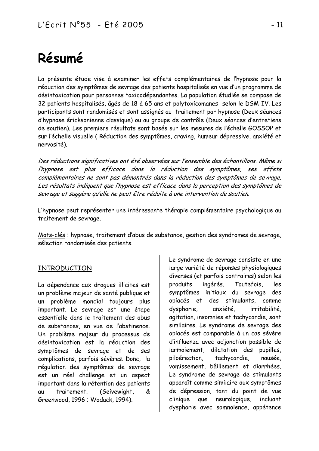# Résumé

La présente étude vise à examiner les effets complémentaires de l'hypnose pour la réduction des symptômes de sevrage des patients hospitalisés en vue d'un programme de désintoxication pour personnes toxicodépendantes. La population étudiée se compose de 32 patients hospitalisés, âgés de 18 à 65 ans et polytoxicomanes selon le DSM-IV. Les participants sont randomisés et sont assignés au traitement par hypnose (Deux séances d'hypnose éricksonienne classique) ou au groupe de contrôle (Deux séances d'entretiens de soutien). Les premiers résultats sont basés sur les mesures de l'échelle GOSSOP et sur l'échelle visuelle (Réduction des symptômes, craving, humeur dépressive, anxiété et nervosité).

Des réductions significatives ont été observées sur l'ensemble des échantillons. Même si l'hypnose est plus efficace dans la réduction des symptômes, ses effets complémentaires ne sont pas démontrés dans la réduction des symptômes de sevrage. Les résultats indiquent que l'hypnose est efficace dans la perception des symptômes de sevrage et suggère qu'elle ne peut être réduite à une intervention de soutien.

L'hypnose peut représenter une intéressante thérapie complémentaire psychologique au traitement de sevrage.

Mots-clés : hypnose, traitement d'abus de substance, gestion des syndromes de sevrage, sélection randomisée des patients.

# INTRODUCTION

La dépendance aux droques illicites est un problème majeur de santé publique et un problème mondial toujours plus important. Le sevrage est une étape essentielle dans le traitement des abus de substances, en vue de l'abstinence. Un problème majeur du processus de désintoxication est la réduction des symptômes de sevrage et de ses complications, parfois sévères. Donc, la régulation des symptômes de sevrage est un réel challenge et un aspect important dans la rétention des patients traitement. (Seivewight, au & Greenwood, 1996 ; Wodack, 1994).

Le syndrome de sevrage consiste en une large variété de réponses physiologiques diverses (et parfois contraires) selon les ingérés. Toutefois, produits les symptômes initiaux du sevrage des opiacés et des stimulants, comme dysphorie. anxiété, irritabilité. agitation, insomnies et tachycardie, sont similaires. Le syndrome de sevrage des opiacés est comparable à un cas sévère d'influenza avec adjonction possible de larmoiement, dilatation des pupilles. piloérection. tachycardie. nausée. vomissement, bâillement et diarrhées. Le syndrome de sevrage de stimulants apparaît comme similaire aux symptômes de dépression, tant du point de vue que neurologique, clinique incluant dysphorie avec somnolence, appétence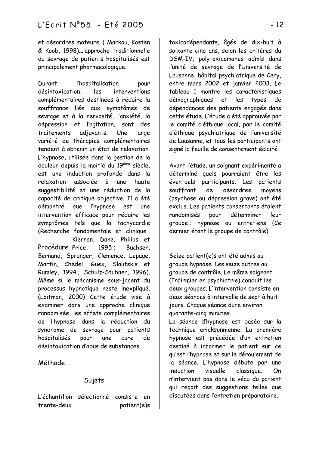et désordres moteurs. (Markou, Kosten & Koob, 1998).L'approche traditionnelle du sevrage de patients hospitalisés est principalement pharmacologique.

Durant l'hospitalisation pour désintoxication les interventions complémentaires destinées à réduire la souffrance liée aux symptômes de sevrage et à la nervosité, l'anxiété, la dépression et l'agitation, sont des traitements adjuvants. Une large variété de thérapies complémentaires tendent à obtenir un état de relaxation L'hypnose, utilisée dans la gestion de la douleur depuis la moitié du 19<sup>ème</sup> siècle, est une induction profonde dans la relaxation associée à une haute suggestibilité et une réduction de la capacité de critique objective. Il a été démontré que l'hypnose est une intervention efficace pour réduire les symptômes tels que la tachycardie (Recherche fondamentale et clinique: Kiernan. Dane. Philips et 1995; Buchser, Bernand, Sprunger, Clemence, Lepage, Martin, Chedel, Guex, Sloutskis et Rumley, 1994; Schulz-Stubner, 1996). Même si le mécanisme sous-jacent du processus hypnotique reste inexpliqué. (Loitman, 2000) Cette étude vise à examiner dans une approche clinique randomisée, les effets complémentaires de l'hypnose dans la réduction du syndrome de sevrage pour patients hospitalisés pour une cure de désintoxication d'abus de substances. Procédure Price,

# Méthode

# Sujets

L'échantillon sélectionné consiste en trente-deux patient(e)s toxicodépendants, âgés de dix-huit à soixante-cing ans, selon les critères du DSM-IV, polytoxicomanes admis dans l'unité de sevrage de l'Université de Lausanne, hôpital psychiatrique de Cery, entre mars 2002 et janvier 2003. Le tableau 1 montre les caractéristiques démographiques et les types de dépendances des patients engagés dans cette étude. L'étude a été approuvée par le comité d'éthique local, par le comité d'éthique psychiatrique de l'université de Lausanne, et tous les participants ont signé la feuille de consentement éclairé.

Avant l'étude, un soignant expérimenté a déterminé quels pourraient être les éventuels participants. Les patients souffrant de désordres moyens (psychose ou dépression grave) ont été exclus. Les patients consentants étaient randomisés pour déterminer leur groupe: hypnose ou entretiens (Ce dernier étant le groupe de contrôle).

Seize patient(e)s ont été admis au groupe hypnose. Les seize autres au groupe de contrôle. Le même soignant (Infirmier en psychiatrie) conduit les deux groupes. L'intervention consiste en deux séances à intervalle de sept à huit jours. Chaque séance dure environ quarante-cing minutes.

La séance d'hypnose est basée sur la technique ericksonnienne. La première hypnose est précédée d'un entretien destiné à informer le patient sur ce qu'est l'hypnose et sur le déroulement de la séance. L'hypnose débute par une induction visuelle classique. On n'intervient pas dans le vécu du patient qui recoit des suggestions telles que discutées dans l'entretien préparatoire.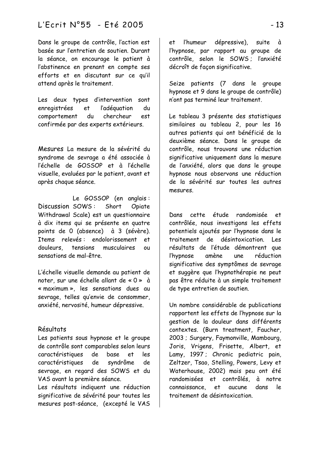# -   A

Dans le groupe de contrôle, l'action est basée sur l'entretien de soutien. Durant la séance, on encourage le patient à l'abstinence en prenant en compte ses efforts et en discutant sur ce qu'il attend après le traitement.

Les deux types d'intervention sont enregistrées et l'adéguation du comportement du chercheur est confirmée par des experts extérieurs.

Mesures La mesure de la sévérité du syndrome de sevrage a été associée à l'échelle de GOSSOP et à l'échelle visuelle, evaluées par le patient, avant et après chaque séance.

Le GOSSOP (en anglais: Discussion SOWS: Short Opiate Withdrawal Scale) est un questionnaire à dix items qui se présente en quatre points de 0 (absence) à 3 (sévère). Ttems relevés: endolorissement et douleurs, tensions musculaires ou sensations de mal-être

L'échelle visuelle demande au patient de noter sur une échelle allant de « 0 » à « maximum », les sensations dues au sevrage, telles qu'envie de consommer, anxiété, nervosité, humeur dépressive.

#### **Résultats**

Les patients sous hypnose et le groupe de contrôle sont comparables selon leurs caractéristiques de base et les caractéristiques de syndrôme de sevrage, en regard des SOWS et du VAS avant la première séance.

Les résultats indiquent une réduction significative de sévérité pour toutes les mesures post-séance, (excepté le VAS

et l'humeur dépressive), suite à l'hypnose, par rapport au groupe de contrôle, selon le SOWS; l'anxiété décroît de façon significative.

Seize patients (7 dans le groupe hypnose et 9 dans le groupe de contrôle) n'ont pas terminé leur traitement.

Le tableau 3 présente des statistiques similaires au tableau 2, pour les 16 autres patients qui ont bénéficié de la deuxième séance. Dans le groupe de contrôle, nous trouvons une réduction significative uniquement dans la mesure de l'anxiété, alors que dans le groupe hypnose nous observons une réduction de la sévérité sur toutes les autres mesures.

Dans cette étude randomisée et contrôlée, nous investigons les effets potentiels ajoutés par l'hypnose dans le traitement de désintoxication. Les résultats de l'étude démontrent que l'hypnose amène une réduction significative des symptômes de sevrage et suggère que l'hypnothérapie ne peut pas être réduite à un simple traitement de type entretien de soutien.

Un nombre considérable de publications rapportent les effets de l'hypnose sur la gestion de la douleur dans différents contextes. (Burn treatment, Faucher, 2003; Surgery, Faymonville, Mambourg, Joris, Vrigens, Frisette, Albert, et Lamy, 1997; Chronic pediatric pain, Zeltzer, Tsao, Stelling, Powers, Levy et Waterhouse, 2002) mais peu ont été randomisées et contrôlés, à notre connaissance et aucune dans le traitement de désintoxication.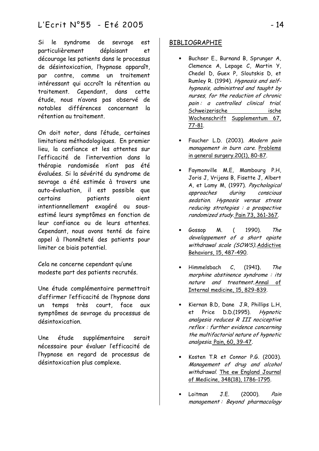Si le syndrome de sevrage est particulièrement déplaisant et décourage les patients dans le processus de désintoxication, l'hypnose apparaît, par contre comme un traitement intéressant qui accroît la rétention au traitement. Cependant, dans cette étude, nous n'avons pas observé de notables différences concernant la rétention au traitement

On doit noter, dans l'étude, certaines limitations méthodologiques. En premier lieu, la confiance et les attentes sur l'efficacité de l'intervention dans la thérapie randomisée n'ont pas été évaluées. Si la sévérité du syndrome de sevrage a été estimée à travers une auto-évaluation, il est possible que certains patients aient intentionnellement exagéré ou sousestimé leurs symptômes en fonction de leur confiance ou de leurs attentes. Cependant, nous avons tenté de faire appel à l'honnêteté des patients pour limiter ce biais potentiel.

Cela ne concerne cependant qu'une modeste part des patients recrutés.

Une étude complémentaire permettrait d'affirmer l'efficacité de l'hypnose dans un temps très court, face aux symptômes de sevrage du processus de désintoxication.

Une étude supplémentaire serait nécessaire pour évaluer l'efficacité de l'hypnose en regard de processus de désintoxication plus complexe.

# **BIBLIOGRAPHIE**

- Buchser E., Burnand B. Sprunger A. Clemence A, Lepage C, Martin Y, Chedel D, Guex P, Sloutskis D, et Rumley R. (1994). Hypnosis and selfhypnosis, administred and taught by nurses, for the reduction of chronic pain: a controlled clinical trial. Schweizerische ische Wochenschrift Supplementum 67, 77-81.
- Faucher L.D. (2003). Modern pain management in burn care. Problems in general surgery.20(1), 80-87.
- Faymonville M.E, Mambourg P.H. Joris J, Vrijens B, Fisette J, Albert A, et Lamy M, (1997). Psychological approaches during conscious sedation. Hypnosis versus stress reducing strategies : a prospective randomized study. Pain 73, 361-367.
- Gossop 1990). The M.  $\left($ developpement of a short opiate withdrawal scale (SOWS). Addictive Behaviors, 15, 487-490.
- $\mathcal{C}$ . Himmelsbach  $(1941)$ . The morphine abstinence syndrome : its nature and treatment. Annal of Internal medicine, 15, 829-839.
- Kiernan B.D, Dane J.R, Phillips L.H, Price D.D.(1995). et **Hypnotic** analgesia reduces R III nociceptive reflex : further evidence concerning the multifactorial nature of hypnotic analgesia. Pain, 60, 39-47.
- Kosten T.R et Connor P.G. (2003). Management of drug and alcohol withdrawal. The ew England Journal of Medicine, 348(18), 1786-1795.
- J.E.  $(2000)$ . Loitman Pain management: Beyond pharmacology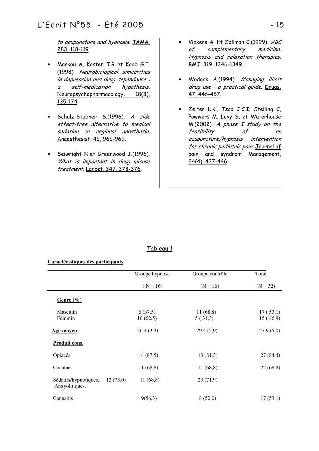to acupuncture and hypnosis. JAMA, 283, 118-119.

- Markou A, Kosten T.R et Koob G.F. (1998). Neurobiological similarities in depression and drug dependance: a self-medication hypothesis. Neuropsychopharmacology, 18(3), 135-174.
- Schulz-Stubner S.(1996). A side effect-free alternative to medical sedation in regional anesthesia. Anaesthesist, 45, 965-969.
- Seiwright N.et Greenwood J.(1996). What is important in drug misuse treatment. Lancet, 347, 373-376.
- Vickers A. Et Zollman C.(1999). ABC of complementary medicine. Hypnosis and relaxation therapies. BMJ, 319, 1346-1349.
- Wodack A.(1994). Managing illicit  $drug$  use : a practical quide. Drugs, 47, 446-457.
- Zelter L.K., Tsao J.C.I, Stelling C, Powwers M, Levy S, et Waterhouse  $M(2002)$ . A phase I study on the feasibility of an acupuncture/hypnosis intervention for chronic pediatric pain. Journal of pain and syndrom Management, 24(4), 437-446.

## Tableau 1

#### **Caractéristiques des participants.**

|                                         |          | Groupe hypnose      | Groupe contrôle     | Total                |  |
|-----------------------------------------|----------|---------------------|---------------------|----------------------|--|
|                                         |          | $(N = 16)$          | $(N = 16)$          | $(N = 32)$           |  |
| Genre $(\%)$                            |          |                     |                     |                      |  |
| Masculin<br>Féminin                     |          | 6(37.5)<br>10(62,5) | 11(68,8)<br>5(31,3) | 17(53,1)<br>15(46,9) |  |
| Age moyen                               |          | 26.4(3.3)           | 29.4(5,9)           | 27.9(5,0)            |  |
| Produit cons.                           |          |                     |                     |                      |  |
| Opiacés                                 |          | 14(87,5)            | 13(81,3)            | 27(84,4)             |  |
| Cocaïne                                 |          | 11(68,8)            | 11(68,8)            | 22(68,8)             |  |
| Sédatifs/hypnotiques,<br>Anxyolitiques. | 12(75,0) | 11(68,8)            | 23(71,9)            |                      |  |
| Cannabis                                |          | 9(56,3)             | 8(50,0)             | 17(53,1)             |  |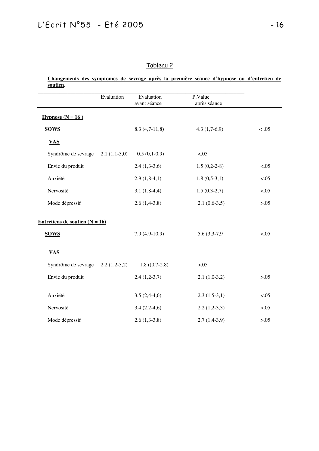| soutien.                         |                |                            |                         |        |
|----------------------------------|----------------|----------------------------|-------------------------|--------|
|                                  | Evaluation     | Evaluation<br>avant séance | P.Value<br>après séance |        |
| Hypnose $(N = 16)$               |                |                            |                         |        |
| <b>SOWS</b>                      |                | $8.3(4,7-11,8)$            | $4.3(1,7-6,9)$          | < .05  |
| <b>VAS</b>                       |                |                            |                         |        |
| Syndrôme de sevrage              | $2.1(1,1-3,0)$ | $0.5(0,1-0,9)$             | < .05                   |        |
| Envie du produit                 |                | $2.4(1,3-3,6)$             | $1.5(0,2-2-8)$          | < .05  |
| Anxiété                          |                | $2.9(1,8-4,1)$             | $1.8(0,5-3,1)$          | < .05  |
| Nervosité                        |                | $3.1(1,8-4,4)$             | $1.5(0,3-2,7)$          | < .05  |
| Mode dépressif                   |                | $2.6(1,4-3,8)$             | $2.1(0.6-3.5)$          | > 0.05 |
| Entretiens de soutien $(N = 16)$ |                |                            |                         |        |
| <b>SOWS</b>                      |                | $7.9(4,9-10,9)$            | 5.6 (3,3-7,9)           | < .05  |
| <b>VAS</b>                       |                |                            |                         |        |
| Syndrôme de sevrage              | $2.2(1,2-3,2)$ | $1.8(0,7-2.8)$             | >0.05                   |        |
| Envie du produit                 |                | $2.4(1,2-3,7)$             | $2.1(1,0-3,2)$          | >0.05  |
| Anxiété                          |                | $3.5(2,4-4,6)$             | $2.3(1,5-3,1)$          | < .05  |
| Nervosité                        |                | $3.4(2,2-4,6)$             | $2.2(1,2-3,3)$          | > 0.05 |
| Mode dépressif                   |                | $2.6(1,3-3,8)$             | $2.7(1,4-3,9)$          | > 0.05 |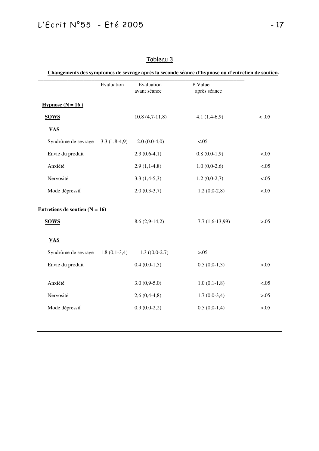|                                    | Evaluation | Evaluation<br>avant séance | P.Value<br>après séance |        |
|------------------------------------|------------|----------------------------|-------------------------|--------|
| Hypnose $(N = 16)$                 |            |                            |                         |        |
| <b>SOWS</b>                        |            | $10.8(4,7-11,8)$           | $4.1(1,4-6,9)$          | < .05  |
| <b>VAS</b>                         |            |                            |                         |        |
| Syndrôme de sevrage $3.3(1,8-4,9)$ |            | $2.0(0.0-4,0)$             | < .05                   |        |
| Envie du produit                   |            | $2.3(0.6-4.1)$             | $0.8(0.0-1.9)$          | < .05  |
| Anxiété                            |            | $2.9(1,1-4,8)$             | $1.0(0,0-2,6)$          | < .05  |
| Nervosité                          |            | $3.3(1,4-5,3)$             | $1.2(0,0-2,7)$          | < .05  |
| Mode dépressif                     |            | $2.0(0,3-3,7)$             | $1.2(0,0-2,8)$          | < .05  |
| Entretiens de soutien $(N = 16)$   |            |                            |                         |        |
| <b>SOWS</b>                        |            | $8.6(2,9-14,2)$            | $7.7(1,6-13,99)$        | >0.05  |
| <b>VAS</b>                         |            |                            |                         |        |
| Syndrôme de sevrage $1.8(0,1-3,4)$ |            | $1.3(0,0-2.7)$             | > 0.05                  |        |
| Envie du produit                   |            | $0.4(0.0-1.5)$             | $0.5(0.0-1,3)$          | >0.05  |
| Anxiété                            |            | $3.0(0,9-5,0)$             | $1.0(0,1-1,8)$          | < .05  |
| Nervosité                          |            | $2,6(0,4-4,8)$             | $1.7(0,0-3,4)$          | >0.05  |
| Mode dépressif                     |            | $0.9(0.0-2.2)$             | $0.5(0.0-1.4)$          | > 0.05 |
|                                    |            |                            |                         |        |

# Tableau 3

**Changements des symptomes de sevrage après la seconde séance d'hypnose ou d'entretien de soutien.**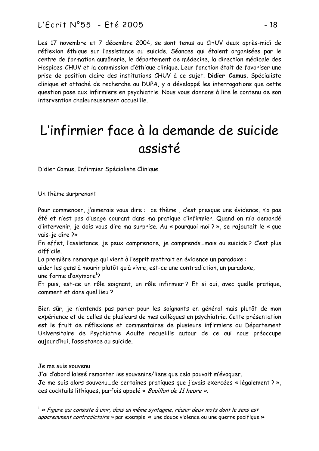Les 17 novembre et 7 décembre 2004, se sont tenus au CHUV deux après-midi de réflexion éthique sur l'assistance au suicide. Séances qui étaient organisées par le centre de formation aumônerie, le département de médecine, la direction médicale des Hospices-CHUV et la commission d'éthique clinique. Leur fonction était de favoriser une prise de position claire des institutions CHUV à ce sujet. **Didier Camus**, Spécialiste clinique et attaché de recherche au DUPA, y a développé les interrogations que cette question pose aux infirmiers en psychiatrie. Nous vous donnons à lire le contenu de son intervention chaleureusement accueillie.

# L'infirmier face à la demande de suicide assisté

Didier Camus, Infirmier Spécialiste Clinique.

Un thème surprenant

Pour commencer, j'aimerais vous dire : ce thème , c'est presque une évidence, n'a pas été et n'est pas d'usage courant dans ma pratique d'infirmier. Quand on m'a demandé d'intervenir, je dois vous dire ma surprise. Au « pourquoi moi ? », se rajoutait le « que vais-je dire ?»

En effet, l'assistance, je peux comprendre, je comprends…mais au suicide ? C'est plus difficile.

La première remarque qui vient à l'esprit mettrait en évidence un paradoxe :

aider les gens à mourir plutôt qu'à vivre, est-ce une contradiction, un paradoxe,

une forme d'oxymore<sup>1</sup>?

Et puis, est-ce un rôle soignant, un rôle infirmier? Et si oui, avec quelle pratique, comment et dans quel lieu ?

Bien sûr, je n'entends pas parler pour les soignants en général mais plutôt de mon expérience et de celles de plusieurs de mes collègues en psychiatrie. Cette présentation est le fruit de réflexions et commentaires de plusieurs infirmiers du Département Universitaire de Psychiatrie Adulte recueillis autour de ce qui nous préoccupe aujourd'hui, l'assistance au suicide.

Je me suis souvenu

J'ai d'abord laissé remonter les souvenirs/liens que cela pouvait m'évoquer. Je me suis alors souvenu…de certaines pratiques que j'avais exercées « légalement ? », ces cocktails lithiques, parfois appelé « Bouillon de 11 heure ».

 $^1$  « Figure qui consiste à unir, dans un même syntagme, réunir deux mots dont le sens est apparemment contradictoire  $\ast$  par exemple  $\ast$  une douce violence ou une querre pacifique  $\ast$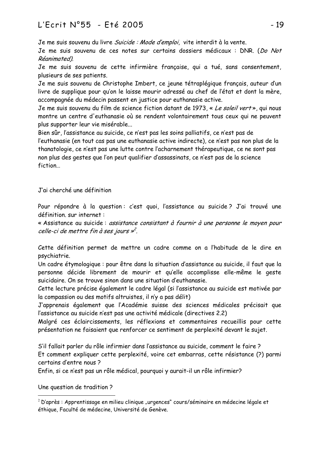# -   AC

Je me suis souvenu du livre *Suicide : Mode d'emploi*, vite interdit à la vente.

Je me suis souvenu de ces notes sur certains dossiers médicaux : DNR. (Do Not Réanimated)

Je me suis souvenu de cette infirmière française, qui a tué, sans consentement, plusieurs de ses patients.

Je me suis souvenu de Christophe Imbert, ce jeune tétraplégique français, auteur d'un livre de supplique pour qu'on le laisse mourir adressé au chef de l'état et dont la mère, accompagnée du médecin passent en justice pour euthanasie active.

Je me suis souvenu du film de science fiction datant de 1973, « Le soleil vert», qui nous montre un centre d'euthanasie où se rendent volontairement tous ceux qui ne peuvent plus supporter leur vie misérable...

Bien sûr, l'assistance au suicide, ce n'est pas les soins palliatifs, ce n'est pas de l'euthanasie (en tout cas pas une euthanasie active indirecte), ce n'est pas non plus de la thanatologie, ce n'est pas une lutte contre l'acharnement thérapeutique, ce ne sont pas non plus des gestes que l'on peut qualifier d'assassinats, ce n'est pas de la science fiction...

J'ai cherché une définition

Pour répondre à la question:c'est quoi, l'assistance au suicide?J'ai trouvé une définition sur internet :

« Assistance au suicide : assistance consistant à fournir à une personne le moyen pour celle-ci de mettre fin à ses jours »<sup>2</sup>.

Cette définition permet de mettre un cadre comme on a l'habitude de le dire en psychiatrie.

Un cadre étymologique : pour être dans la situation d'assistance au suicide, il faut que la personne décide librement de mourir et qu'elle accomplisse elle-même le geste suicidaire. On se trouve sinon dans une situation d'euthanasie.

Cette lecture précise également le cadre légal (si l'assistance au suicide est motivée par la compassion ou des motifs altruistes, il n'y a pas délit)

J'apprenais également que l'Académie suisse des sciences médicales précisait que l'assistance au suicide n'est pas une activité médicale (directives 2.2)

Malgré ces éclaircissements, les réflexions et commentaires recueillis pour cette présentation ne faisaient que renforcer ce sentiment de perplexité devant le sujet.

S'il fallait parler du rôle infirmier dans l'assistance au suicide, comment le faire ? Et comment expliquer cette perplexité, voire cet embarras, cette résistance (?) parmi certains d'entre nous ?

Enfin, si ce n'est pas un rôle médical, pourquoi y aurait-il un rôle infirmier?

Une question de tradition ?

 $^{\rm 2}$  D'après : Apprentissage en milieu clinique "urgences" cours/séminaire en médecine légale et éthique, Faculté de médecine, Université de Genève.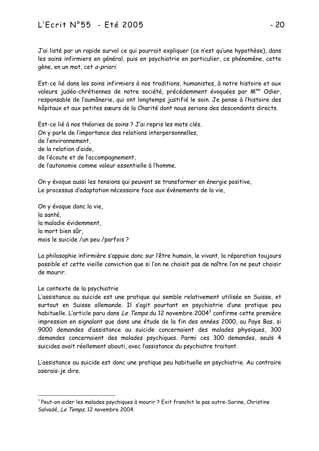J'ai listé par un rapide survol ce qui pourrait expliquer (ce n'est qu'une hypothèse), dans les soins infirmiers en général, puis en psychiatrie en particulier, ce phénomène, cette gène, en un mot, cet a-priori.

Est-ce lié dans les soins infirmiers à nos traditions, humanistes, à notre histoire et aux valeurs judéo-chrétiennes de notre société, précédemment évoquées par M<sup>me</sup> Odier, responsable de l'aumônerie, qui ont longtemps justifié le soin. Je pense à l'histoire des hôpitaux et aux petites sœurs de la Charité dont nous serions des descendants directs.

Est-ce lié à nos théories de soins ? J'ai repris les mots clés. On y parle de l'importance des relations interpersonnelles, de l'environnement. de la relation d'aide de l'écoute et de l'accompagnement. de l'autonomie comme valeur essentielle à l'homme.

On y évoque aussi les tensions qui peuvent se transformer en énergie positive, Le processus d'adaptation nécessaire face aux évènements de la vie,

On y évoque donc la vie, la santé la maladie évidemment. la mort bien sûr. mais le suicide /un peu /parfois ?

La philosophie infirmière s'appuie donc sur l'être humain, le vivant, la réparation toujours possible et cette vieille conviction que si l'on ne choisit pas de naître l'on ne peut choisir de mourir.

# Le contexte de la psychiatrie

L'assistance au suicide est une pratique qui semble relativement utilisée en Suisse, et surtout en Suisse allemande. Il s'agit pourtant en psychiatrie d'une pratique peu habituelle. L'article paru dans Le Temps du 12 novembre 2004<sup>3</sup> confirme cette première impression en signalant que dans une étude de la fin des années 2000, au Pays Bas, si 9000 demandes d'assistance au suicide concernaient des malades physiques, 300 demandes concernaient des malades psychiques. Parmi ces 300 demandes, seuls 4 suicides avait réellement abouti, avec l'assistance du psychiatre traitant.

L'assistance au suicide est donc une pratique peu habituelle en psychiatrie. Au contraire oserais-je dire.

<sup>&</sup>lt;sup>3</sup> Peut-on aider les malades psychiques à mourir ? Exit franchit le pas outre-Sarine, Christine Salvadé, Le Temps, 12 novembre 2004.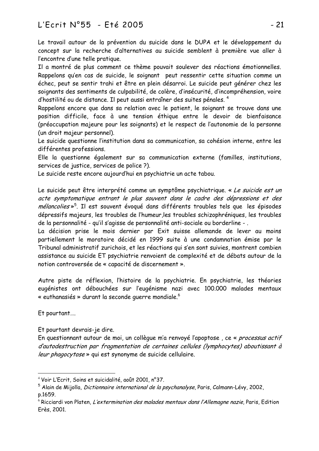# L'Ecrit N°55 - Eté 2005

Le travail autour de la prévention du suicide dans le DUPA et le développement du concept sur la recherche d'alternatives au suicide semblent à première vue aller à l'encontre d'une telle pratique.

Il a montré de plus comment ce thème pouvait soulever des réactions émotionnelles. Rappelons qu'en cas de suicide, le soignant peut ressentir cette situation comme un échec, peut se sentir trahi et être en plein désarroi. Le suicide peut générer chez les soignants des sentiments de culpabilité, de colère, d'insécurité, d'incompréhension, voire d'hostilité ou de distance. Il peut aussi entraîner des suites pénales.<sup>4</sup>

Rappelons encore que dans sa relation avec le patient, le soignant se trouve dans une position difficile, face à une tension éthique entre le devoir de bienfaisance (préoccupation majeure pour les soignants) et le respect de l'autonomie de la personne (un droit majeur personnel).

Le suicide questionne l'institution dans sa communication, sa cohésion interne, entre les différentes professions.

Elle la questionne également sur sa communication externe (familles, institutions, services de justice, services de police ?).

Le suicide reste encore aujourd'hui en psychiatrie un acte tabou.

Le suicide peut être interprété comme un symptôme psychiatrique. « Le suicide est un acte symptomatique entrant le plus souvent dans le cadre des dépressions et des mélancolies»<sup>5</sup>. Il est souvent évoqué dans différents troubles tels que les épisodes dépressifs majeurs, les troubles de l'humeur, les troubles schizophréniques, les troubles de la personnalité - qu'il s'agisse de personnalité anti-sociale ou borderline -.

La décision prise le mois dernier par Exit suisse allemande de lever au moins partiellement le moratoire décidé en 1999 suite à une condamnation émise par le Tribunal administratif zurichois, et les réactions qui s'en sont suivies, montrent combien assistance au suicide ET psychiatrie renvoient de complexité et de débats autour de la notion controversée de « capacité de discernement ».

Autre piste de réflexion, l'histoire de la psychiatrie. En psychiatrie, les théories eugénistes ont débouchées sur l'eugénisme nazi avec 100.000 malades mentaux « euthanasiés » durant la seconde querre mondiale.<sup>6</sup>

Et pourtant....

Et pourtant devrais-je dire.

En questionnant autour de moi, un collèque m'a renvoyé l'apoptose, ce « processus actif d'autodestruction par fragmentation de certaines cellules (lymphocytes) aboutissant à leur phagocytose » qui est synonyme de suicide cellulaire.

<sup>&</sup>lt;sup>4</sup> Voir L'Ecrit, Soins et suicidalité, août 2001, n°37.

<sup>&</sup>lt;sup>5</sup> Alain de Mijolla, *Dictionnaire international de la psychanalyse*, Paris, Calmann-Lévy, 2002, p.1659.

 $\frac{1}{6}$  Ricciardi von Platen, *L'extermination des malades mentaux dans l'Allemagne nazie*, Paris, Edition Erès, 2001.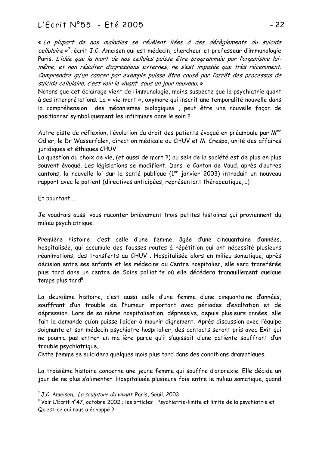-  

« La plupart de nos maladies se révèlent liées à des dérèglements du suicide *cellulaire* »<sup>7</sup>. écrit J.C. Ameisen qui est médecin, chercheur et professeur d'immunologie Paris. L'idée que la mort de nos cellules puisse être programmée par l'organisme luimême, et non résulter d'agressions externes, ne s'est imposée que très récemment. Comprendre qu'un cancer par exemple puisse être causé par l'arrêt des processus de suicide cellulaire, c'est voir le vivant sous un jour nouveau.»

Notons que cet éclairage vient de l'immunologie, moins suspecte que la psychiatrie quant à ses interprétations. La « vie-mort », oxymore qui inscrit une temporalité nouvelle dans la compréhension des mécanismes biologiques, peut être une nouvelle façon de positionner symboliquement les infirmiers dans le soin ?

Autre piste de réflexion, l'évolution du droit des patients évoqué en préambule par M<sup>me</sup> Odier, le Dr Wasserfalen, direction médicale du CHUV et M. Crespo, unité des affaires juridiques et éthiques CHUV.

La question du choix de vie, (et aussi de mort?) au sein de la société est de plus en plus souvent évoqué. Les législations se modifient. Dans le Canton de Vaud, après d'autres cantons, la nouvelle loi sur la santé publique (1<sup>er</sup> janvier 2003) introduit un nouveau rapport avec le patient (directives anticipées, représentant thérapeutique,...)

Et pourtant....

Je voudrais aussi vous raconter brièvement trois petites histoires qui proviennent du milieu psychiatrique.

Première histoire, c'est celle d'une femme, âgée d'une cinquantaine d'années, hospitalisée, qui accumule des fausses routes à répétition qui ont nécessité plusieurs réanimations, des transferts au CHUV. Hospitalisée alors en milieu somatique, après décision entre ses enfants et les médecins du Centre hospitalier, elle sera transférée plus tard dans un centre de Soins palliatifs où elle décédera tranquillement quelque temps plus tard<sup>8</sup>.

La deuxième histoire, c'est aussi celle d'une femme d'une cinquantaine d'années, souffrant d'un trouble de l'humeur important avec périodes d'exaltation et de dépression. Lors de sa nième hospitalisation, dépressive, depuis plusieurs années, elle fait la demande qu'on puisse l'aider à mourir dignement. Après discussion avec l'équipe soignante et son médecin psychiatre hospitalier, des contacts seront pris avec Exit qui ne pourra pas entrer en matière parce qu'il s'agissait d'une patiente souffrant d'un trouble psychiatrique.

Cette femme se suicidera quelques mois plus tard dans des conditions dramatiques.

La troisième histoire concerne une jeune femme qui souffre d'anorexie. Elle décide un jour de ne plus s'alimenter. Hospitalisée plusieurs fois entre le milieu somatique, quand

<sup>&</sup>lt;sup>7</sup> J.C. Ameisen. *La sculpture du vivant*, Paris, Seuil, 2003

 $^{\rm 8}$  Voir L'Ecrit n°47, octobre 2002 ; les articles : Psychiatrie-limite et limite de la psychiatrie et Qu'est-ce qui nous a échappé ?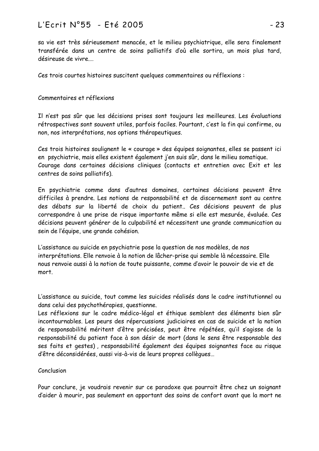# L'Ecrit N°55 - Eté 2005

sa vie est très sérieusement menacée, et le milieu psychiatrique, elle sera finalement transférée dans un centre de soins palliatifs d'où elle sortira, un mois plus tard, désireuse de vivre

Ces trois courtes histoires suscitent quelques commentaires ou réflexions :

# Commentaires et réflexions

Il n'est pas sûr que les décisions prises sont toujours les meilleures. Les évaluations rétrospectives sont souvent utiles, parfois faciles. Pourtant, c'est la fin qui confirme, ou non, nos interprétations, nos options thérapeutiques.

Ces trois histoires soulignent le « courage » des équipes soignantes, elles se passent ici en psychiatrie, mais elles existent également j'en suis sûr, dans le milieu somatique. Courage dans certaines décisions cliniques (contacts et entretien avec Exit et les centres de soins palliatifs).

En psychiatrie comme dans d'autres domaines, certaines décisions peuvent être difficiles à prendre. Les notions de responsabilité et de discernement sont au centre des débats sur la liberté de choix du patient.. Ces décisions peuvent de plus correspondre à une prise de risque importante même si elle est mesurée, évaluée. Ces décisions peuvent générer de la culpabilité et nécessitent une grande communication au sein de l'équipe, une grande cohésion.

L'assistance au suicide en psychiatrie pose la question de nos modèles, de nos interprétations. Elle renvoie à la notion de lâcher-prise qui semble là nécessaire. Elle nous renvoie aussi à la notion de toute puissante, comme d'avoir le pouvoir de vie et de mort.

L'assistance au suicide, tout comme les suicides réalisés dans le cadre institutionnel ou dans celui des psychothérapies, questionne.

Les réflexions sur le cadre médico-légal et éthique semblent des éléments bien sûr incontournables. Les peurs des répercussions judiciaires en cas de suicide et la notion de responsabilité méritent d'être précisées, peut être répétées, qu'il s'agisse de la responsabilité du patient face à son désir de mort (dans le sens être responsable des ses faits et gestes), responsabilité également des équipes soignantes face au risque d'être déconsidérées, aussi vis-à-vis de leurs propres collèques...

## Conclusion

Pour conclure, je voudrais revenir sur ce paradoxe que pourrait être chez un soignant d'aider à mourir, pas seulement en apportant des soins de confort avant que la mort ne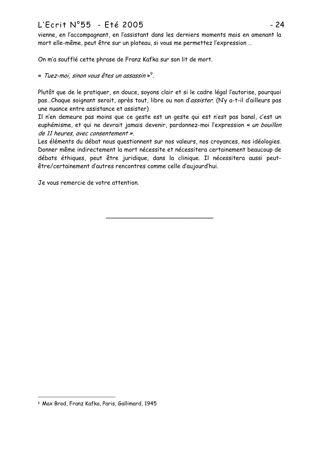# L'Ecrit N°55 - Eté 2005

vienne, en l'accompagnant, en l'assistant dans les derniers moments mais en amenant la mort elle-même, peut être sur un plateau, si vous me permettez l'expression ...

On m'a soufflé cette phrase de Franz Kafka sur son lit de mort.

« Tuez-moi, sinon vous êtes un assassin»<sup>9</sup>.

Plutôt que de le pratiquer, en douce, soyons clair et si le cadre légal l'autorise, pourquoi pas...Chaque soignant serait, après tout, libre ou non d'assister. (N'y a-t-il d'ailleurs pas une nuance entre assistance et assister)

Il n'en demeure pas moins que ce geste est un geste qui est n'est pas banal, c'est un euphémisme, et qui ne devrait jamais devenir, pardonnez-moi l'expression « un bouillon de 11 heures, avec consentement ».

Les éléments du débat nous questionnent sur nos valeurs, nos croyances, nos idéologies. Donner même indirectement la mort nécessite et nécessitera certainement beaucoup de débats éthiques, peut être juridique, dans la clinique. Il nécessitera aussi peutêtre/certainement d'autres rencontres comme celle d'aujourd'hui.

Je vous remercie de votre attention.

<sup>9</sup> Max Brod, Franz Kafka, Paris, Gallimard, 1945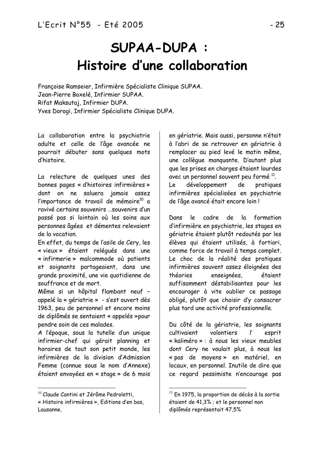# **SUPAA-DUPA:** Histoire d'une collaboration

Françoise Ramseier, Infirmière Spécialiste Clinique SUPAA. Jean-Pierre Boxelé, Infirmier SUPAA. Rifat Maksutaj, Infirmier DUPA. Yves Dorogi, Infirmier Spécialiste Clinique DUPA.

La collaboration entre la psychiatrie adulte et celle de l'âge avancée ne pourrait débuter sans quelques mots d'histoire.

La relecture de quelques unes des bonnes pages « d'histoires infirmières » dont on ne saluera jamais assez l'importance de travail de mémoire<sup>10</sup> a ravivé certains souvenirs ... souvenirs d'un passé pas si lointain où les soins aux personnes âgées et démentes relevaient de la vocation.

En effet, du temps de l'asile de Cery, les « vieux » étaient reléqués dans une « infirmerie » malcommode où patients et soignants partageaient, dans une grande proximité, une vie quotidienne de souffrance et de mort.

Même si un hôpital flambant neuf appelé la « gériatrie » - s'est ouvert dès 1963, peu de personnel et encore moins de diplômés se sentaient « appelés »pour pendre soin de ces malades.

A l'époque, sous la tutelle d'un unique infirmier-chef qui gérait planning et horaires de tout son petit monde, les infirmières de la division d'Admission Femme (connue sous le nom d'Annexe) étaient envoyées en « stage » de 6 mois

en gériatrie. Mais aussi, personne n'était à l'abri de se retrouver en gériatrie à remplacer au pied levé le matin même, une collèque manquante. D'autant plus que les prises en charges étaient lourdes avec un personnel souvent peu formé<sup>11</sup>. développement de pratiques Le infirmières spécialisées en psychiatrie de l'âge avancé était encore loin!

 $|e|$ cadre de  $\overline{a}$ formation Dans d'infirmière en psychiatrie, les stages en gériatrie étaient plutôt redoutés par les élèves qui étaient utilisés, à fortiori, comme force de travail à temps complet. Le choc de la réalité des pratiques infirmières souvent assez éloignées des théories enseignées. étaient suffisamment déstabilisantes pour les encourager à vite oublier ce passage obligé, plutôt que choisir d'y consacrer plus tard une activité professionnelle.

Du côté de la gériatrie, les soignants cultivaient volontiers <sup>"</sup> esprit « kaliméro » : à nous les vieux meubles dont Cery ne voulait plus, à nous les « pas de moyens » en matériel, en locaux, en personnel. Inutile de dire que ce regard pessimiste n'encourage pas

<sup>&</sup>lt;sup>10</sup> Claude Cantini et Jérôme Pedroletti.

<sup>«</sup> Histoire infirmières », Editions d'en bas, Lausanne.

 $^{11}$  En 1975, la proportion de décès à la sortie étaient de 41.3% ; et le personnel non diplômés représentait 47,5%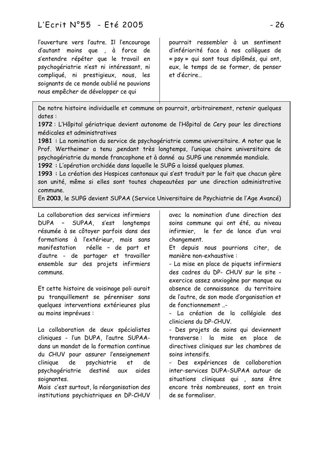l'ouverture vers l'autre. Il l'encourage d'autant moins que , à force de s'entendre répéter que le travail en psychogériatrie n'est ni intéressant, ni compliqué, ni prestigieux, nous, les soignants de ce monde oublié ne pouvions nous empêcher de développer ce qui

pourrait ressembler à un sentiment d'infériorité face à nos collègues de « psy » qui sont tous diplômés, qui ont. eux, le temps de se former, de penser et d'écrire

De notre histoire individuelle et commune on pourrait, arbitrairement, retenir quelques dates:

1972 : L'Hôpital gériatrique devient autonome de l'Hôpital de Cery pour les directions médicales et administratives

1981 : La nomination du service de psychogériatrie comme universitaire. A noter que le Prof. Wertheimer a tenu , pendant très longtemps, l'unique chaire universitaire de psychogériatrie du monde francophone et à donné au SUPG une renommée mondiale.

1992 : L'opération orchidée dans laquelle le SUPG a laissé quelques plumes.

1993 : La création des Hospices cantonaux qui s'est traduit par le fait que chacun gère son unité, même si elles sont toutes chapeautées par une direction administrative commune.

En 2003, le SUPG devient SUPAA (Service Universitaire de Psychiatrie de l'Age Avancé)

La collaboration des services infirmiers DUPA - SUPAA, s'est lonatemps résumée à se côtoyer parfois dans des formations à l'extérieur, mais sans réelle - de part et manifestation d'autre - de partager et travailler ensemble sur des projets infirmiers communs.

Et cette histoire de voisinage poli aurait pu tranquillement se pérenniser sans quelques interventions extérieures plus au moins imprévues :

La collaboration de deux spécialistes cliniques - l'un DUPA, l'autre SUPAAdans un mandat de la formation continue du CHUV pour assurer l'enseignement clinique de psychiatrie  $e<sub>t</sub>$ de. psychogériatrie destiné aides aux soignantes.

Mais c'est surtout, la réorganisation des institutions psychiatriques en DP-CHUV avec la nomination d'une direction des soins commune qui ont été, au niveau infirmier. le fer de lance d'un vrai changement.

Et depuis nous pourrions citer, de manière non-exhaustive:

- La mise en place de piquets infirmiers des cadres du DP- CHUV sur le site exercice assez anxiogène par manque ou absence de connaissance du territoire de l'autre, de son mode d'organisation et de fonctionnement ..-

- La création de la collégiale des cliniciens du DP-CHUV.

- Des projets de soins qui deviennent transverse: la mise en place de directives cliniques sur les chambres de soins intensifs.

- Des expériences de collaboration inter-services DUPA-SUPAA autour de situations cliniques qui , sans être encore très nombreuses, sont en train de se formaliser.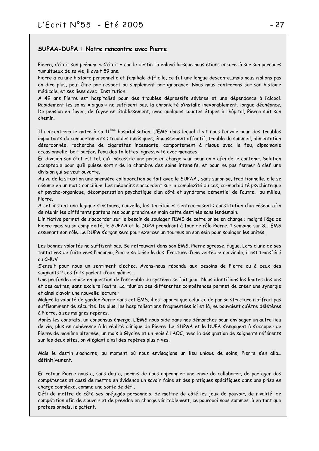#### SUPAA-DUPA : Notre rencontre avec Pierre

Pierre, c'était son prénom. « C'était » car le destin l'a enlevé lorsque nous étions encore là sur son parcours tumultueux de sa vie, il avait 59 ans.

Pierre a eu une histoire personnelle et familiale difficile, ce fut une longue descente...mais nous n'allons pas en dire plus, peut-être par respect ou simplement par ignorance. Nous nous centrerons sur son histoire médicale, et ses liens avec l'Institution.

A 49 ans Pierre est hospitalisé pour des troubles dépressifs sévères et une dépendance à l'alcool. Rapidement les soins « aigus » ne suffisent pas, la chronicité s'installe inexorablement, longue déchéance. De pension en foyer, de foyer en établissement, avec quelques courtes étapes à l'hôpital, Pierre suit son chemin.

Il rencontrera le notre à sa 11<sup>ème</sup> hospitalisation. L'EMS dans lequel il vit nous l'envoie pour des troubles importants du comportements : troubles mnésiques, émoussement affectif, trouble du sommeil, alimentation désordonnée, recherche de cigarettes incessante, comportement à risque avec le feu, dipsomanie occasionnelle, boit parfois l'eau des toilettes, agressivité avec menaces.

En division son état est tel, qu'il nécessite une prise en charge « un pour un » afin de le contenir. Solution acceptable pour qu'il puisse sortir de la chambre des soins intensifs, et pour ne pas fermer à clef une division qui se veut ouverte.

Au vu de la situation une première collaboration se fait avec le SUPAA ; sans surprise, traditionnelle, elle se résume en un mot : concilium. Les médecins s'accordent sur la complexité du cas, co-morbidité psychiatrique et psycho-organique, décompensation psychotique d'un côté et syndrome démentiel de l'autre... au milieu, Pierre

A cet instant une logique s'instaure, nouvelle, les territoires s'entrecroisent : constitution d'un réseau afin de réunir les différents partenaires pour prendre en main cette destinée sans lendemain.

L'initiative permet de s'accorder sur le besoin de soulager l'EMS de cette prise en charge ; malgré l'âge de Pierre mais vu sa complexité, le SUPAA et le DUPA prendront à tour de rôle Pierre, 1 semaine sur 8... l'EMS assumant son rôle. Le DUPA s'organisera pour exercer un tournus en son sein pour soulager les unités...

Les bonnes volontés ne suffisent pas. Se retrouvant dans son EMS, Pierre agresse, fugue. Lors d'une de ses tentatives de fuite vers l'inconnu, Pierre se brise le dos. Fracture d'une vertèbre cervicale, il est transféré au CHUV.

S'ensuit pour nous un sentiment d'échec. Avons-nous répondu aux besoins de Pierre ou à ceux des soignants ? Les faits parlent d'eux mêmes...

Une profonde remise en question de l'ensemble du système se fait jour. Nous identifions les limites des uns et des autres, sans exclure l'autre. La réunion des différentes compétences permet de créer une synergie et ainsi d'avoir une nouvelle lecture :

Malgré la volonté de garder Pierre dans cet EMS, il est apparu que celui-ci, de par sa structure n'offrait pas suffisamment de sécurité. De plus, les hospitalisations fragmentées ici et là, ne pouvaient qu'être délétères à Pierre, à ses maigres repères.

Après les constats, un consensus émerge. L'EMS nous aide dans nos démarches pour envisager un autre lieu de vie, plus en cohérence à la réalité clinique de Pierre. Le SUPAA et le DUPA s'engagent à s'occuper de Pierre de manière alternée, un mois à Glycine et un mois à l'AOC, avec la désignation de soignants référents sur les deux sites, privilégiant ainsi des repères plus fixes.

Mais le destin s'acharne, au moment où nous envisagions un lieu unique de soins, Pierre s'en alla... définitivement.

En retour Pierre nous a, sans doute, permis de nous approprier une envie de collaborer, de partager des compétences et aussi de mettre en évidence un savoir faire et des pratiques spécifiques dans une prise en charge complexe, comme une sorte de défi.

Défi de mettre de côté ses préjugés personnels, de mettre de côté les jeux de pouvoir, de rivalité, de compétition afin de s'ouvrir et de prendre en charge véritablement, ce pourquoi nous sommes là en tant que professionnels, le patient.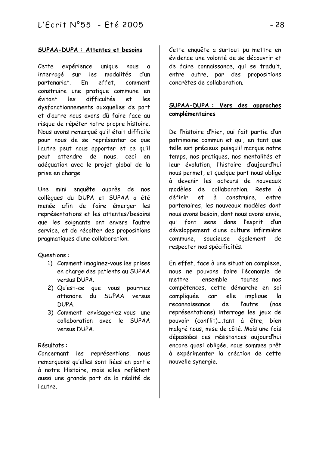# SUPAA-DUPA : Attentes et besoins

Cette expérience unique nous  $\mathbf{a}$ interrogé sur les modalités  $d'$ un partenariat. effet. En comment construire une pratique commune en  $les$ difficultés évitant e.t les dysfonctionnements auxquelles de part et d'autre nous avons dû faire face au risque de répéter notre propre histoire. Nous avons remarqué qu'il était difficile pour nous de se représenter ce que l'autre peut nous apporter et ce qu'il peut attendre de nous, ceci en adéquation avec le projet global de la prise en charge.

Une mini enquête auprès de nos collègues du DUPA et SUPAA a été menée afin de faire émerger les représentations et les attentes/besoins que les soignants ont envers l'autre service, et de récolter des propositions pragmatiques d'une collaboration.

Questions:

- 1) Comment imaginez-vous les prises en charge des patients au SUPAA versus DUPA.
- 2) Qu'est-ce que vous pourriez attendre du SUPAA versus **NUPA**
- 3) Comment envisageriez-vous une collaboration avec le SUPAA versus DUPA

## Résultats:

Concernant les représentions, nous remarquons qu'elles sont liées en partie à notre Histoire, mais elles reflètent aussi une grande part de la réalité de l'autre.

Cette enquête a surtout pu mettre en évidence une volonté de se découvrir et de faire connaissance, qui se traduit, entre autre, par des propositions concrètes de collaboration.

# SUPAA-DUPA : Vers des approches complémentaires

De l'histoire d'hier, qui fait partie d'un patrimoine commun et qui, en tant que telle est précieux puisqu'il marque notre temps, nos pratiques, nos mentalités et leur évolution, l'histoire d'aujourd'hui nous permet, et quelque part nous oblige à devenir les acteurs de nouveaux modèles de collaboration. Reste à définir e.t  $\lambda$ construire. entre. partenaires, les nouveaux modèles dont nous avons besoin, dont nous avons envie, sens dans l'esprit aui font d'un développement d'une culture infirmière commune. soucieuse également de. respecter nos spécificités.

En effet, face à une situation complexe, nous ne pouvons faire l'économie de mettre. ensemble. toutes nos compétences, cette démarche en soi elle compliquée car implique la reconnaissance de *l'autre*  $(nos)$ représentations) interroge les jeux de pouvoir (conflit) tant à être bien malgré nous, mise de côté. Mais une fois dépassées ces résistances aujourd'hui encore quasi obligée, nous sommes prêt à expérimenter la création de cette nouvelle synergie.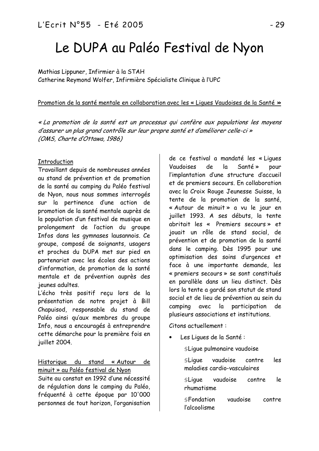# Le DUPA au Paléo Festival de Nyon

Mathias Lippuner, Infirmier à la STAH Catherine Reymond Wolfer, Infirmière Spécialiste Clinique à l'UPC

#### Promotion de la santé mentale en collaboration avec les « Liques Vaudoises de la Santé »

« La promotion de la santé est un processus qui confère aux populations les moyens d'assurer un plus grand contrôle sur leur propre santé et d'améliorer celle-ci » (OMS, Charte d'Ottawa, 1986)

## **Introduction**

Travaillant depuis de nombreuses années au stand de prévention et de promotion de la santé au camping du Paléo festival de Nyon, nous nous sommes interrogés sur la pertinence d'une action de promotion de la santé mentale auprès de la population d'un festival de musique en prolongement de l'action du groupe Infos dans les gymnases lausannois. Ce groupe, composé de soignants, usagers et proches du DUPA met sur pied en partenariat avec les écoles des actions d'information, de promotion de la santé mentale et de prévention auprès des ieunes adultes

L'écho très positif reçu lors de la présentation de notre projet à Bill Chapuisod, responsable du stand de Paléo ainsi qu'aux membres du groupe Info, nous a encouragés à entreprendre cette démarche pour la première fois en juillet 2004.

#### Historique du stand « Autour de minuit » au Paléo festival de Nyon

Suite au constat en 1992 d'une nécessité de régulation dans le camping du Paléo, fréquenté à cette époque par 10'000 personnes de tout horizon, l'organisation

de ce festival a mandaté les « Liques Vaudoises de  $|a|$ Santé » pour l'implantation d'une structure d'accueil et de premiers secours. En collaboration avec la Croix Rouge Jeunesse Suisse, la tente de la promotion de la santé. « Autour de minuit » a vu le jour en juillet 1993. A ses débuts, la tente abritait les « Premiers secours » et jouait un rôle de stand social, de prévention et de promotion de la santé dans le camping. Dès 1995 pour une optimisation des soins d'urgences et face à une importante demande, les « premiers secours » se sont constitués en parallèle dans un lieu distinct. Dès lors la tente a gardé son statut de stand social et de lieu de prévention au sein du camping avec la participation de plusieurs associations et institutions.

Citons actuellement:

Les Ligues de la Santé :

SLique pulmonaire vaudoise

**SLigue** vaudoise contre les maladies cardio-vasculaires

vaudoise le  $SLique$ contre rhumatisme

vaudoise **SFondation** contre l'alcoolisme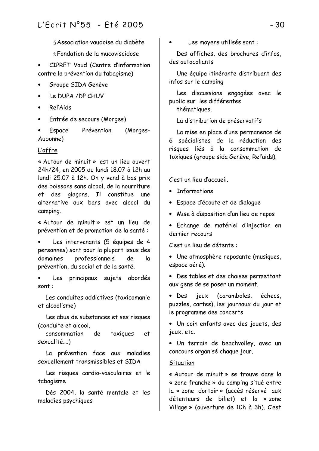§ Association vaudoise du diabète

§Fondation de la mucoviscidose

•  $CIPRET$  Vaud (Centre d'information contre la prévention du tabagisme)

- Groupe SIDA Genève
- Le DUPA / DP CHUV
- ReľAids
- Entrée de secours (Morges)
- Espace Prévention (Morges-Aubonne)

# <u>L'offre</u>

« Autour de minuit » est un lieu ouvert 24h/24, en 2005 du lundi 18,07 à 12h au lundi 25.07 à 12h. On y vend à bas prix des boissons sans alcool, de la nourriture et des alacons. Il constitue une alternative aux bars avec alcool du camping.

« Autour de minuit » est un lieu de prévention et de promotion de la santé :

Les intervenants (5 équipes de 4 personnes) sont pour la plupart issus des domaines professionnels de la prévention, du social et de la santé.

Les principaux sujets abordés  $sont:$ 

Les conduites addictives (toxicomanie et alcoolisme)

Les abus de substances et ses risques (conduite et alcool.

consommation de toxiques et sexualité...

La prévention face aux maladies sexuellement transmissibles et STDA

Les risques cardio-vasculaires et le tabagisme

Dès 2004, la santé mentale et les maladies psychiques

Les moyens utilisés sont :

Des affiches, des brochures d'infos, des autocollants

Une équipe itinérante distribuant des infos sur le camping

Les discussions engagées avec le public sur les différentes

thématiques.

La distribution de préservatifs

La mise en place d'une permanence de 6 spécialistes de la réduction des risques liés à la consommation de toxiques (groupe sida Genève, Rel'aids).

C'est un lieu d'accueil.

- Informations
- Espace d'écoute et de dialogue
- $\bullet$   $\,$  Mise à disposition d'un lieu de repos
- Echange de matériel d'injection en dernier recours

C'est un lieu de détente :

- Une atmosphère reposante (musiques, espace aéré).
- Des tables et des chaises permettant aux gens de se poser un moment.

• Des jeux (caramboles, échecs, puzzles, cartes), les journaux du jour et le programme des concerts

• Un coin enfants avec des jouets, des ieux, etc.

• Un terrain de beachvolley, avec un concours organisé chaque jour.

## **Situation**

« Autour de minuit » se trouve dans la « zone franche » du camping situé entre la « zone dortoir » (accès réservé aux détenteurs de billet) et la «zone Village » (ouverture de 10h à 3h). C'est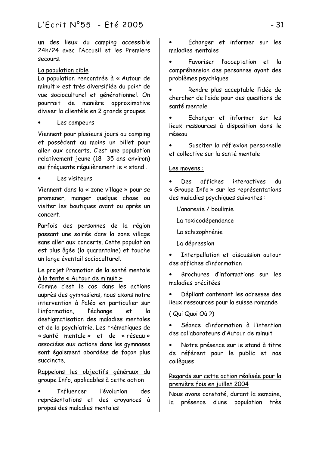un des lieux du camping accessible 24h/24 avec l'Accueil et les Premiers Secours

# La population cible

La population rencontrée à « Autour de minuit » est très diversifiée du point de vue socioculturel et générationnel. On pourrait de manière approximative diviser la clientèle en 2 grands groupes.

# Les campeurs

Viennent pour plusieurs jours au camping et possèdent au moins un billet pour aller aux concerts. C'est une population relativement jeune (18- 35 ans environ) qui fréquente réqulièrement le « stand.

Les visiteurs

Viennent dans la « zone village » pour se promener, manger quelque chose ou visiter les boutiques avant ou après un concert.

Parfois des personnes de la région passant une soirée dans la zone village sans aller aux concerts. Cette population est plus âgée (la quarantaine) et touche un large éventail socioculturel.

# Le projet Promotion de la santé mentale à la tente « Autour de minuit »

Comme c'est le cas dans les actions auprès des gymnasiens, nous axons notre intervention à Paléo en particulier sur l'information. l'échange e.t  $\overline{a}$ destigmatisation des maladies mentales et de la psychiatrie. Les thématiques de « santé mentale » et de « réseau » associées aux actions dans les gymnases sont également abordées de façon plus succincte.

# Rappelons les objectifs généraux du aroupe Info, applicables à cette action

**Tnfluencer** l'évolution des représentations et des croyances à propos des maladies mentales

- Echanger et informer sur les maladies mentales
- Favoriser l'acceptation et  $|a|$ compréhension des personnes ayant des problèmes psychiques
- Rendre plus acceptable l'idée de chercher de l'aide pour des questions de santé mentale
- Echanger et informer sur les lieux ressources à disposition dans le résegu
- Susciter la réflexion personnelle et collective sur la santé mentale.

# Les movens :

affiches Des interactives du « Groupe Info » sur les représentations des maladies psychiques suivantes :

- L'anorexie / boulimie
- La toxicodépendance
- La schizophrénie
- La dépression
- Interpellation et discussion autour des affiches d'information
- Brochures d'informations sur les maladies précitées
- Dépliant contenant les adresses des lieux ressources pour la suisse romande

(Qui Quoi Où?)

Séance d'information à l'intention des collaborateurs d'Autour de minuit

Notre présence sur le stand à titre de référent pour le public et nos collègues

# Regards sur cette action réalisée pour la première fois en juillet 2004

Nous avons constaté, durant la semaine, la présence d'une population très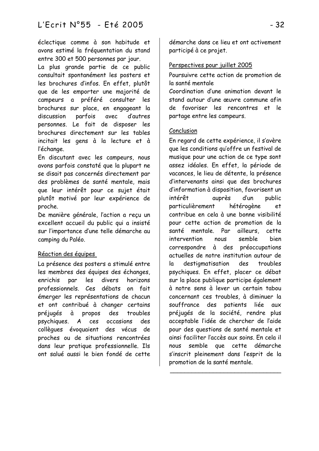éclectique comme à son habitude et avons estimé la fréquentation du stand entre 300 et 500 personnes par jour.

La plus grande partie de ce public consultait spontanément les posters et les brochures d'infos. En effet, plutôt que de les emporter une majorité de campeurs a préféré consulter les brochures sur place, en engageant la parfois avec d'autres discussion personnes. Le fait de disposer les brochures directement sur les tables incitait les gens à la lecture et à l'échange.

En discutant avec les campeurs, nous avons parfois constaté que la plupart ne se disait pas concernés directement par des problèmes de santé mentale, mais que leur intérêt pour ce sujet était plutôt motivé par leur expérience de proche.

De manière générale, l'action a recu un excellent accueil du public qui a insisté sur l'importance d'une telle démarche au camping du Paléo.

## Réaction des équipes

La présence des posters a stimulé entre les membres des équipes des échanges. enrichis par les divers horizons professionnels. Ces débats on fait émerger les représentations de chacun et ont contribué à changer certains préjugés  $\mathbf{\hat{a}}$ propos des troubles A ces psychiques. occasions des collègues évoquaient des vécus de proches ou de situations rencontrées dans leur pratique professionnelle. Ils ont salué aussi le bien fondé de cette démarche dans ce lieu et ont activement participé à ce projet.

# Perspectives pour juillet 2005

Poursuivre cette action de promotion de la santé mentale

Coordination d'une animation devant le stand autour d'une œuvre commune afin de favoriser les rencontres et le partage entre les campeurs.

# Conclusion

En regard de cette expérience, il s'avère que les conditions qu'offre un festival de musique pour une action de ce type sont assez idéales. En effet, la période de vacances, le lieu de détente, la présence d'intervenants ainsi que des brochures d'information à disposition, favorisent un intérêt quprès d'un public particulièrement hétérogène et contribue en cela à une bonne visibilité pour cette action de promotion de la santé mentale. Par ailleurs, cette hien intervention  $n = 1$ semble correspondre à des préoccupations actuelles de notre institution autour de la destigmatisation des troubles psychiques. En effet, placer ce débat sur la place publique participe également à notre sens à lever un certain tabou concernant ces troubles à diminuer la souffrance des patients liée  $aux$ préjugés de la société, rendre plus acceptable l'idée de chercher de l'aide pour des questions de santé mentale et ainsi faciliter l'accès aux soins. En cela il nous semble que cette démarche s'inscrit pleinement dans l'esprit de la promotion de la santé mentale.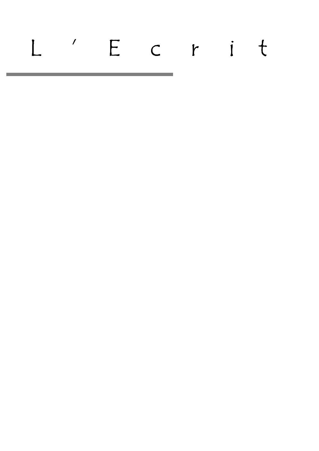# L'Ecrit

<u> 1989 - Johann Barnett, mars eta indonez erroman (h. 1989).</u>